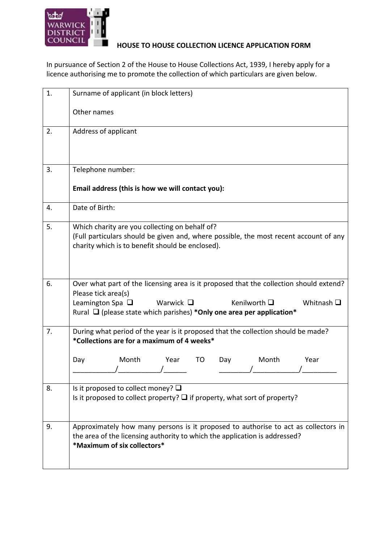

## **HOUSE TO HOUSE COLLECTION LICENCE APPLICATION FORM**

In pursuance of Section 2 of the House to House Collections Act, 1939, I hereby apply for a licence authorising me to promote the collection of which particulars are given below.

| 1. | Surname of applicant (in block letters)                                                                                                                                                                                                                                      |  |  |  |  |
|----|------------------------------------------------------------------------------------------------------------------------------------------------------------------------------------------------------------------------------------------------------------------------------|--|--|--|--|
|    | Other names                                                                                                                                                                                                                                                                  |  |  |  |  |
| 2. | Address of applicant                                                                                                                                                                                                                                                         |  |  |  |  |
| 3. | Telephone number:                                                                                                                                                                                                                                                            |  |  |  |  |
|    | Email address (this is how we will contact you):                                                                                                                                                                                                                             |  |  |  |  |
| 4. | Date of Birth:                                                                                                                                                                                                                                                               |  |  |  |  |
| 5. | Which charity are you collecting on behalf of?<br>(Full particulars should be given and, where possible, the most recent account of any<br>charity which is to benefit should be enclosed).                                                                                  |  |  |  |  |
| 6. | Over what part of the licensing area is it proposed that the collection should extend?<br>Please tick area(s)<br>Leamington Spa $\Box$<br>Kenilworth □<br>Whitnash $\square$<br>Warwick $\Box$<br>Rural $\Box$ (please state which parishes) *Only one area per application* |  |  |  |  |
| 7. | During what period of the year is it proposed that the collection should be made?<br>*Collections are for a maximum of 4 weeks*                                                                                                                                              |  |  |  |  |
|    | Month<br>Year<br>Day<br>Year<br>TO<br>Day<br>Month                                                                                                                                                                                                                           |  |  |  |  |
| 8. | Is it proposed to collect money? $\square$<br>Is it proposed to collect property? $\Box$ if property, what sort of property?                                                                                                                                                 |  |  |  |  |
| 9. | Approximately how many persons is it proposed to authorise to act as collectors in<br>the area of the licensing authority to which the application is addressed?<br>*Maximum of six collectors*                                                                              |  |  |  |  |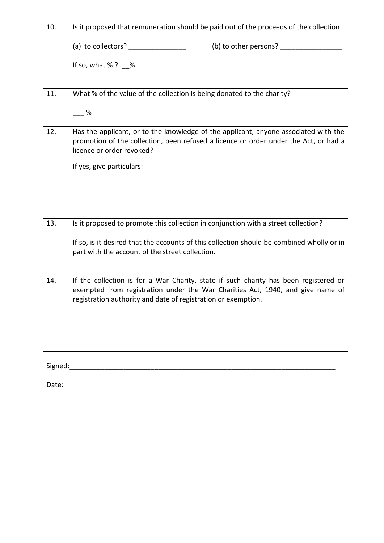| 10. | Is it proposed that remuneration should be paid out of the proceeds of the collection                                                                                                                    |  |  |  |  |
|-----|----------------------------------------------------------------------------------------------------------------------------------------------------------------------------------------------------------|--|--|--|--|
|     | (a) to collectors? _________________<br>(b) to other persons? _______                                                                                                                                    |  |  |  |  |
|     | If so, what $% ?$ %                                                                                                                                                                                      |  |  |  |  |
|     |                                                                                                                                                                                                          |  |  |  |  |
| 11. | What % of the value of the collection is being donated to the charity?                                                                                                                                   |  |  |  |  |
|     | %                                                                                                                                                                                                        |  |  |  |  |
| 12. | Has the applicant, or to the knowledge of the applicant, anyone associated with the<br>promotion of the collection, been refused a licence or order under the Act, or had a<br>licence or order revoked? |  |  |  |  |
|     | If yes, give particulars:                                                                                                                                                                                |  |  |  |  |
|     |                                                                                                                                                                                                          |  |  |  |  |
|     |                                                                                                                                                                                                          |  |  |  |  |
| 13. | Is it proposed to promote this collection in conjunction with a street collection?                                                                                                                       |  |  |  |  |
|     | If so, is it desired that the accounts of this collection should be combined wholly or in<br>part with the account of the street collection.                                                             |  |  |  |  |
| 14. | If the collection is for a War Charity, state if such charity has been registered or                                                                                                                     |  |  |  |  |
|     | exempted from registration under the War Charities Act, 1940, and give name of<br>registration authority and date of registration or exemption.                                                          |  |  |  |  |
|     |                                                                                                                                                                                                          |  |  |  |  |
|     |                                                                                                                                                                                                          |  |  |  |  |
|     |                                                                                                                                                                                                          |  |  |  |  |

 ${\Large Signed:}\label{eq:signal} \centering \vspace{-0.1cm} \begin{minipage}[t]{0.9\linewidth} \label{fig:signal} \begin{minipage}[t]{0.9\linewidth} \end{minipage} \vspace{-0.1cm} \begin{minipage}[t]{0.9\linewidth} \end{minipage} \vspace{-0.1cm} \begin{minipage}[t]{0.9\linewidth} \end{minipage} \vspace{-0.1cm} \begin{minipage}[t]{0.9\linewidth} \end{minipage} \vspace{-0.1cm} \begin{minipage}[t]{0.9\linewidth} \end{minipage} \vspace{-0.1cm} \begin{minipage}[t]{0.9\linewidth} \end{min$ 

Date: \_\_\_\_\_\_\_\_\_\_\_\_\_\_\_\_\_\_\_\_\_\_\_\_\_\_\_\_\_\_\_\_\_\_\_\_\_\_\_\_\_\_\_\_\_\_\_\_\_\_\_\_\_\_\_\_\_\_\_\_\_\_\_\_\_\_\_\_\_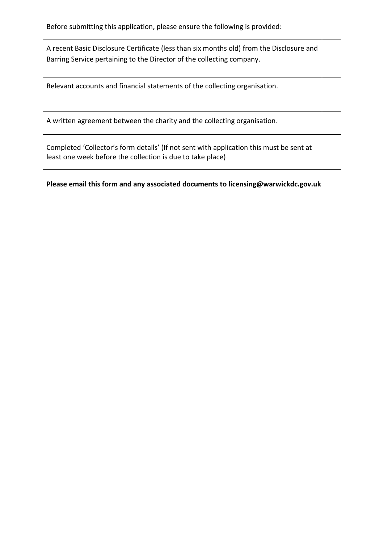Before submitting this application, please ensure the following is provided:

A recent Basic Disclosure Certificate (less than six months old) from the Disclosure and Barring Service pertaining to the Director of the collecting company.

Relevant accounts and financial statements of the collecting organisation.

A written agreement between the charity and the collecting organisation.

Completed 'Collector's form details' (If not sent with application this must be sent at least one week before the collection is due to take place)

**Please email this form and any associated documents to licensing@warwickdc.gov.uk**